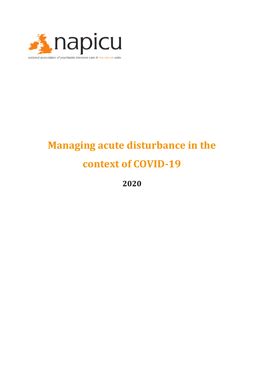

# **Managing acute disturbance in the context of COVID-19**

**2020**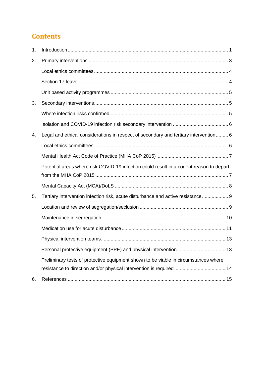## **Contents**

| 1. |                                                                                         |  |
|----|-----------------------------------------------------------------------------------------|--|
| 2. |                                                                                         |  |
|    |                                                                                         |  |
|    |                                                                                         |  |
|    |                                                                                         |  |
| 3. |                                                                                         |  |
|    |                                                                                         |  |
|    |                                                                                         |  |
| 4. | Legal and ethical considerations in respect of secondary and tertiary intervention 6    |  |
|    |                                                                                         |  |
|    |                                                                                         |  |
|    | Potential areas where risk COVID-19 infection could result in a cogent reason to depart |  |
|    |                                                                                         |  |
|    |                                                                                         |  |
| 5. | Tertiary intervention infection risk, acute disturbance and active resistance 9         |  |
|    |                                                                                         |  |
|    |                                                                                         |  |
|    |                                                                                         |  |
|    |                                                                                         |  |
|    |                                                                                         |  |
|    | Preliminary tests of protective equipment shown to be viable in circumstances where     |  |
|    | resistance to direction and/or physical intervention is required 14                     |  |
| 6. |                                                                                         |  |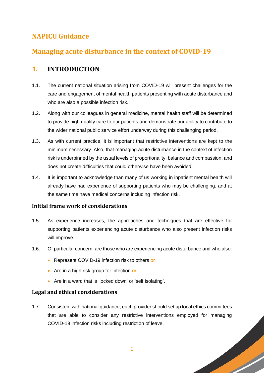## **NAPICU Guidance**

## **Managing acute disturbance in the context of COVID-19**

### <span id="page-2-0"></span>**1. INTRODUCTION**

- 1.1. The current national situation arising from COVID-19 will present challenges for the care and engagement of mental health patients presenting with acute disturbance and who are also a possible infection risk.
- 1.2. Along with our colleagues in general medicine, mental health staff will be determined to provide high quality care to our patients and demonstrate our ability to contribute to the wider national public service effort underway during this challenging period.
- 1.3. As with current practice, it is important that restrictive interventions are kept to the minimum necessary. Also, that managing acute disturbance in the context of infection risk is underpinned by the usual levels of proportionality, balance and compassion, and does not create difficulties that could otherwise have been avoided.
- 1.4. It is important to acknowledge than many of us working in inpatient mental health will already have had experience of supporting patients who may be challenging, and at the same time have medical concerns including infection risk.

#### **Initial frame work of considerations**

- 1.5. As experience increases, the approaches and techniques that are effective for supporting patients experiencing acute disturbance who also present infection risks will improve.
- 1.6. Of particular concern, are those who are experiencing acute disturbance and who also:
	- Represent COVID-19 infection risk to others or
	- Are in a high risk group for infection or
	- Are in a ward that is 'locked down' or 'self isolating'.

#### **Legal and ethical considerations**

1.7. Consistent with national guidance, each provider should set up local ethics committees that are able to consider any restrictive interventions employed for managing COVID-19 infection risks including restriction of leave.

1

**South Strain Service**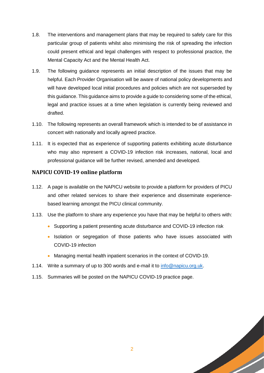- 1.8. The interventions and management plans that may be required to safely care for this particular group of patients whilst also minimising the risk of spreading the infection could present ethical and legal challenges with respect to professional practice, the Mental Capacity Act and the Mental Health Act.
- 1.9. The following guidance represents an initial description of the issues that may be helpful. Each Provider Organisation will be aware of national policy developments and will have developed local initial procedures and policies which are not superseded by this guidance. This guidance aims to provide a guide to considering some of the ethical, legal and practice issues at a time when legislation is currently being reviewed and drafted.
- 1.10. The following represents an overall framework which is intended to be of assistance in concert with nationally and locally agreed practice.
- 1.11. It is expected that as experience of supporting patients exhibiting acute disturbance who may also represent a COVID-19 infection risk increases, national, local and professional guidance will be further revised, amended and developed.

#### **NAPICU COVID-19 online platform**

- 1.12. A page is available on the NAPICU website to provide a platform for providers of PICU and other related services to share their experience and disseminate experiencebased learning amongst the PICU clinical community.
- 1.13. Use the platform to share any experience you have that may be helpful to others with:
	- Supporting a patient presenting acute disturbance and COVID-19 infection risk
	- Isolation or segregation of those patients who have issues associated with COVID-19 infection
	- Managing mental health inpatient scenarios in the context of COVID-19.
- 1.14. Write a summary of up to 300 words and e-mail it to [info@napicu.org.uk.](mailto:info@napicu.org.uk)
- 1.15. Summaries will be posted on the NAPICU COVID-19 practice page.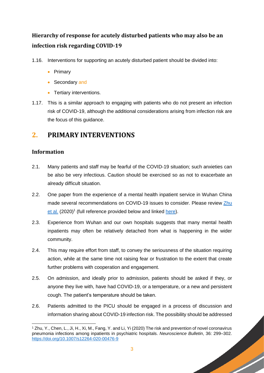## **Hierarchy of response for acutely disturbed patients who may also be an infection risk regarding COVID-19**

- 1.16. Interventions for supporting an acutely disturbed patient should be divided into:
	- Primary
	- Secondary and
	- Tertiary interventions.
- 1.17. This is a similar approach to engaging with patients who do not present an infection risk of COVID-19, although the additional considerations arising from infection risk are the focus of this guidance.

### <span id="page-4-0"></span>**2. PRIMARY INTERVENTIONS**

#### **Information**

- 2.1. Many patients and staff may be fearful of the COVID-19 situation; such anxieties can be also be very infectious. Caution should be exercised so as not to exacerbate an already difficult situation.
- 2.2. One paper from the experience of a mental health inpatient service in Wuhan China made several recommendations on COVID-19 issues to consider. Please review [Zhu](https://doi.org/10.1007/s12264-020-00476-9)  [et al.](https://doi.org/10.1007/s12264-020-00476-9) (2020)<sup>1</sup> (full reference provided below and linked [here\)](https://doi.org/10.1007/s12264-020-00476-9).
- 2.3. Experience from Wuhan and our own hospitals suggests that many mental health inpatients may often be relatively detached from what is happening in the wider community.
- 2.4. This may require effort from staff, to convey the seriousness of the situation requiring action, while at the same time not raising fear or frustration to the extent that create further problems with cooperation and engagement.
- 2.5. On admission, and ideally prior to admission, patients should be asked if they, or anyone they live with, have had COVID-19, or a temperature, or a new and persistent cough. The patient's temperature should be taken.
- 2.6. Patients admitted to the PICU should be engaged in a process of discussion and information sharing about COVID-19 infection risk. The possibility should be addressed

**South Company** 

<sup>-</sup><sup>1</sup> Zhu, Y., Chen, L., Ji, H., Xi, M., Fang, Y. and Li, Yi (2020) The risk and prevention of novel coronavirus pneumonia infections among inpatients in psychiatric hospitals. *Neuroscience Bulletin*, 36: 299–302. <https://doi.org/10.1007/s12264-020-00476-9>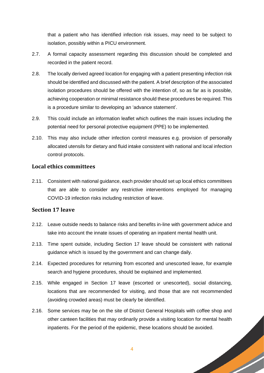that a patient who has identified infection risk issues, may need to be subject to isolation, possibly within a PICU environment.

- 2.7. A formal capacity assessment regarding this discussion should be completed and recorded in the patient record.
- 2.8. The locally derived agreed location for engaging with a patient presenting infection risk should be identified and discussed with the patient. A brief description of the associated isolation procedures should be offered with the intention of, so as far as is possible, achieving cooperation or minimal resistance should these procedures be required. This is a procedure similar to developing an 'advance statement'.
- 2.9. This could include an information leaflet which outlines the main issues including the potential need for personal protective equipment (PPE) to be implemented.
- 2.10. This may also include other infection control measures e.g. provision of personally allocated utensils for dietary and fluid intake consistent with national and local infection control protocols.

#### <span id="page-5-0"></span>**Local ethics committees**

2.11. Consistent with national guidance, each provider should set up local ethics committees that are able to consider any restrictive interventions employed for managing COVID-19 infection risks including restriction of leave.

#### <span id="page-5-1"></span>**Section 17 leave**

- 2.12. Leave outside needs to balance risks and benefits in-line with government advice and take into account the innate issues of operating an inpatient mental health unit.
- 2.13. Time spent outside, including Section 17 leave should be consistent with national guidance which is issued by the government and can change daily.
- 2.14. Expected procedures for returning from escorted and unescorted leave, for example search and hygiene procedures, should be explained and implemented.
- 2.15. While engaged in Section 17 leave (escorted or unescorted), social distancing, locations that are recommended for visiting, and those that are not recommended (avoiding crowded areas) must be clearly be identified.
- 2.16. Some services may be on the site of District General Hospitals with coffee shop and other canteen facilities that may ordinarily provide a visiting location for mental health inpatients. For the period of the epidemic, these locations should be avoided.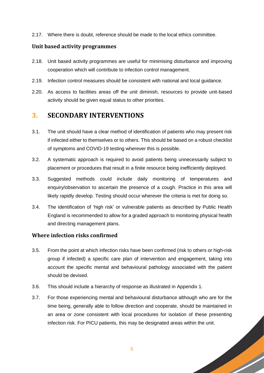2.17. Where there is doubt, reference should be made to the local ethics committee.

#### <span id="page-6-0"></span>**Unit based activity programmes**

- 2.18. Unit based activity programmes are useful for minimising disturbance and improving cooperation which will contribute to infection control management.
- 2.19. Infection control measures should be consistent with national and local guidance.
- 2.20. As access to facilities areas off the unit diminish, resources to provide unit-based activity should be given equal status to other priorities.

#### <span id="page-6-1"></span>**3. SECONDARY INTERVENTIONS**

- 3.1. The unit should have a clear method of identification of patients who may present risk if infected either to themselves or to others. This should be based on a robust checklist of symptoms and COVID-19 testing wherever this is possible.
- 3.2. A systematic approach is required to avoid patients being unnecessarily subject to placement or procedures that result in a finite resource being inefficiently deployed.
- 3.3. Suggested methods could include daily monitoring of temperatures and enquiry/observation to ascertain the presence of a cough. Practice in this area will likely rapidly develop. Testing should occur wherever the criteria is met for doing so.
- 3.4. The identification of 'high risk' or vulnerable patients as described by Public Health England is recommended to allow for a graded approach to monitoring physical health and directing management plans.

#### <span id="page-6-2"></span>**Where infection risks confirmed**

- 3.5. From the point at which infection risks have been confirmed (risk to others or high-risk group if infected) a specific care plan of intervention and engagement, taking into account the specific mental and behavioural pathology associated with the patient should be devised.
- 3.6. This should include a hierarchy of response as illustrated in Appendix 1.
- 3.7. For those experiencing mental and behavioural disturbance although who are for the time being, generally able to follow direction and cooperate, should be maintained in an area or zone consistent with local procedures for isolation of these presenting infection risk. For PICU patients, this may be designated areas within the unit.

**Sold Strain Strain Strain Strain Strain Strain Strain Strain Strain Strain Strain Strain Strain Strain Strain**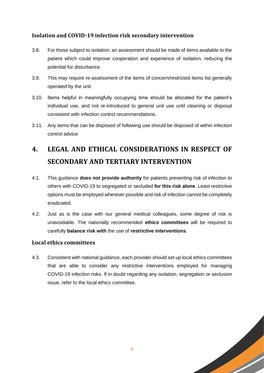#### <span id="page-7-0"></span>**Isolation and COVID-19 infection risk secondary intervention**

- 3.8. For those subject to isolation, an assessment should be made of items available to the patient which could improve cooperation and experience of isolation, reducing the potential for disturbance.
- 3.9. This may require re-assessment of the items of concern/restricted items list generally operated by the unit.
- 3.10. Items helpful in meaningfully occupying time should be allocated for the patient's individual use, and not re-introduced to general unit use until cleaning or disposal consistent with infection control recommendations.
- 3.11. Any items that can be disposed of following use should be disposed of within infection control advice.

## <span id="page-7-1"></span>**4. LEGAL AND ETHICAL CONSIDERATIONS IN RESPECT OF SECONDARY AND TERTIARY INTERVENTION**

- 4.1. This guidance **does not provide authority** for patients presenting risk of infection to others with COVID-19 to segregated or secluded **for this risk alone**. Least restrictive options must be employed wherever possible and risk of infection cannot be completely eradicated.
- 4.2. Just as is the case with our general medical colleagues, some degree of risk is unavoidable. The nationally recommended **ethics committees** will be required to carefully **balance risk with** the use of **restrictive interventions**.

#### <span id="page-7-2"></span>**Local ethics committees**

4.3. Consistent with national guidance, each provider should set up local ethics committees that are able to consider any restrictive interventions employed for managing COVID-19 infection risks. If in doubt regarding any isolation, segregation or seclusion issue, refer to the local ethics committee.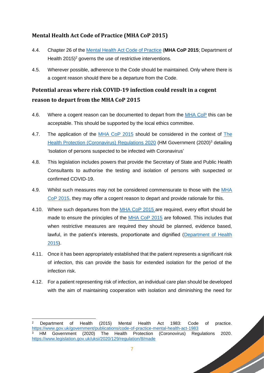#### <span id="page-8-0"></span>**Mental Health Act Code of Practice (MHA CoP 2015)**

- 4.4. Chapter 26 of the [Mental Health Act Code of Practice](https://www.gov.uk/government/publications/code-of-practice-mental-health-act-1983) (**MHA CoP 2015**; Department of Health  $2015$ <sup>2</sup> governs the use of restrictive interventions.
- 4.5. Wherever possible, adherence to the Code should be maintained. Only where there is a cogent reason should there be a departure from the Code.

### <span id="page-8-1"></span>**Potential areas where risk COVID-19 infection could result in a cogent reason to depart from the MHA CoP 2015**

- 4.6. Where a cogent reason can be documented to depart from the [MHA CoP](https://www.gov.uk/government/publications/code-of-practice-mental-health-act-1983) this can be acceptable. This should be supported by the local ethics committee.
- 4.7. The application of the [MHA CoP](https://www.gov.uk/government/publications/code-of-practice-mental-health-act-1983) 2015 should be considered in the context of The [Health Protection \(Coronavirus\)](https://www.legislation.gov.uk/uksi/2020/129/regulation/8/made) Regulations 2020 (HM Government (2020)<sup>3</sup> detailing 'Isolation of persons suspected to be infected with Coronavirus'
- 4.8. This legislation includes powers that provide the Secretary of State and Public Health Consultants to authorise the testing and isolation of persons with suspected or confirmed COVID-19.
- 4.9. Whilst such measures may not be considered commensurate to those with the MHA [CoP 2015,](https://www.gov.uk/government/publications/code-of-practice-mental-health-act-1983) they may offer a cogent reason to depart and provide rationale for this.
- 4.10. Where such departures from the [MHA CoP 2015](https://www.gov.uk/government/publications/code-of-practice-mental-health-act-1983) are required, every effort should be made to ensure the principles of the [MHA CoP 2015](https://www.gov.uk/government/publications/code-of-practice-mental-health-act-1983) are followed. This includes that when restrictive measures are required they should be planned, evidence based, lawful, in the patient's interests, proportionate and dignified [\(Department of Health](https://www.gov.uk/government/publications/code-of-practice-mental-health-act-1983) [2015\)](https://www.gov.uk/government/publications/code-of-practice-mental-health-act-1983).
- 4.11. Once it has been appropriately established that the patient represents a significant risk of infection, this can provide the basis for extended isolation for the period of the infection risk.
- 4.12. For a patient representing risk of infection, an individual care plan should be developed with the aim of maintaining cooperation with isolation and diminishing the need for

-

**Sold Strain Strain Strain Strain Strain Strain Strain Strain Strain Strain Strain Strain Strain Strain Strain** 

<sup>2</sup> Department of Health (2015) Mental Health Act 1983: Code of practice. <https://www.gov.uk/government/publications/code-of-practice-mental-health-act-1983><br><sup>3</sup> HM Government (2020) The Health Protection (Coronovirus) Rec <sup>3</sup> HM Government (2020) The Health Protection (Coronovirus) Regulations 2020. <https://www.legislation.gov.uk/uksi/2020/129/regulation/8/made>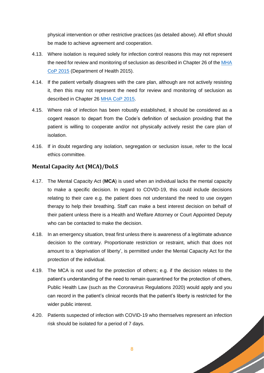physical intervention or other restrictive practices (as detailed above). All effort should be made to achieve agreement and cooperation.

- 4.13. Where isolation is required solely for infection control reasons this may not represent the need for review and monitoring of seclusion as described in Chapter 26 of the [MHA](https://www.gov.uk/government/publications/code-of-practice-mental-health-act-1983)  [CoP 2015](https://www.gov.uk/government/publications/code-of-practice-mental-health-act-1983) (Department of Health 2015).
- 4.14. If the patient verbally disagrees with the care plan, although are not actively resisting it, then this may not represent the need for review and monitoring of seclusion as described in Chapter 26 [MHA CoP 2015.](https://www.gov.uk/government/publications/code-of-practice-mental-health-act-1983)
- 4.15. Where risk of infection has been robustly established, it should be considered as a cogent reason to depart from the Code's definition of seclusion providing that the patient is willing to cooperate and/or not physically actively resist the care plan of isolation.
- 4.16. If in doubt regarding any isolation, segregation or seclusion issue, refer to the local ethics committee.

#### <span id="page-9-0"></span>**Mental Capacity Act (MCA)/DoLS**

- 4.17. The Mental Capacity Act (**MCA**) is used when an individual lacks the mental capacity to make a specific decision. In regard to COVID-19, this could include decisions relating to their care e.g. the patient does not understand the need to use oxygen therapy to help their breathing. Staff can make a best interest decision on behalf of their patient unless there is a Health and Welfare Attorney or Court Appointed Deputy who can be contacted to make the decision.
- 4.18. In an emergency situation, treat first unless there is awareness of a legitimate advance decision to the contrary. Proportionate restriction or restraint, which that does not amount to a 'deprivation of liberty', is permitted under the Mental Capacity Act for the protection of the individual.
- 4.19. The MCA is not used for the protection of others; e.g. if the decision relates to the patient's understanding of the need to remain quarantined for the protection of others, Public Health Law (such as the Coronavirus Regulations 2020) would apply and you can record in the patient's clinical records that the patient's liberty is restricted for the wider public interest.
- 4.20. Patients suspected of infection with COVID-19 who themselves represent an infection risk should be isolated for a period of 7 days.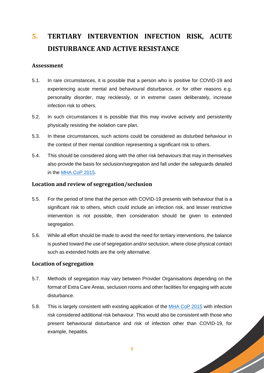## <span id="page-10-0"></span>**5. TERTIARY INTERVENTION INFECTION RISK, ACUTE DISTURBANCE AND ACTIVE RESISTANCE**

#### **Assessment**

- 5.1. In rare circumstances, it is possible that a person who is positive for COVID-19 and experiencing acute mental and behavioural disturbance, or for other reasons e.g. personality disorder, may recklessly, or in extreme cases deliberately, increase infection risk to others.
- 5.2. In such circumstances it is possible that this may involve actively and persistently physically resisting the isolation care plan.
- 5.3. In these circumstances, such actions could be considered as disturbed behaviour in the context of their mental condition representing a significant risk to others.
- 5.4. This should be considered along with the other risk behaviours that may in themselves also provide the basis for seclusion/segregation and fall under the safeguards detailed in the [MHA CoP 2015.](https://www.gov.uk/government/publications/code-of-practice-mental-health-act-1983)

#### <span id="page-10-1"></span>**Location and review of segregation/seclusion**

- 5.5. For the period of time that the person with COVID-19 presents with behaviour that is a significant risk to others, which could include an infection risk, and lesser restrictive intervention is not possible, then consideration should be given to extended segregation.
- 5.6. While all effort should be made to avoid the need for tertiary interventions, the balance is pushed toward the use of segregation and/or seclusion, where close physical contact such as extended holds are the only alternative.

#### **Location of segregation**

- 5.7. Methods of segregation may vary between Provider Organisations depending on the format of Extra Care Areas, seclusion rooms and other facilities for engaging with acute disturbance.
- 5.8. This is largely consistent with existing application of the [MHA CoP 2015](https://www.gov.uk/government/publications/code-of-practice-mental-health-act-1983) with infection risk considered additional risk behaviour. This would also be consistent with those who present behavioural disturbance and risk of infection other than COVID-19, for example, hepatitis.

**South Strain Strain Strain Strain Strain Strain Strain Strain Strain Strain Strain Strain Strain Strain Strain**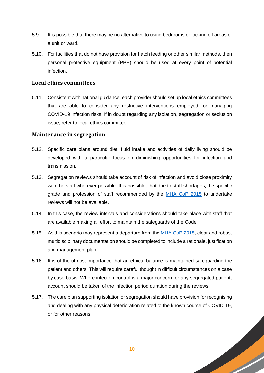- 5.9. It is possible that there may be no alternative to using bedrooms or locking off areas of a unit or ward.
- 5.10. For facilities that do not have provision for hatch feeding or other similar methods, then personal protective equipment (PPE) should be used at every point of potential infection.

#### **Local ethics committees**

5.11. Consistent with national guidance, each provider should set up local ethics committees that are able to consider any restrictive interventions employed for managing COVID-19 infection risks. If in doubt regarding any isolation, segregation or seclusion issue, refer to local ethics committee.

#### <span id="page-11-0"></span>**Maintenance in segregation**

- 5.12. Specific care plans around diet, fluid intake and activities of daily living should be developed with a particular focus on diminishing opportunities for infection and transmission.
- 5.13. Segregation reviews should take account of risk of infection and avoid close proximity with the staff wherever possible. It is possible, that due to staff shortages, the specific grade and profession of staff recommended by the [MHA CoP 2015](https://www.gov.uk/government/publications/code-of-practice-mental-health-act-1983) to undertake reviews will not be available.
- 5.14. In this case, the review intervals and considerations should take place with staff that are available making all effort to maintain the safeguards of the Code.
- 5.15. As this scenario may represent a departure from the [MHA CoP 2015,](https://www.gov.uk/government/publications/code-of-practice-mental-health-act-1983) clear and robust multidisciplinary documentation should be completed to include a rationale, justification and management plan.
- 5.16. It is of the utmost importance that an ethical balance is maintained safeguarding the patient and others. This will require careful thought in difficult circumstances on a case by case basis. Where infection control is a major concern for any segregated patient, account should be taken of the infection period duration during the reviews.
- 5.17. The care plan supporting isolation or segregation should have provision for recognising and dealing with any physical deterioration related to the known course of COVID-19, or for other reasons.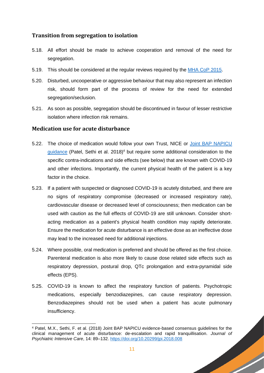#### **Transition from segregation to isolation**

- 5.18. All effort should be made to achieve cooperation and removal of the need for segregation.
- 5.19. This should be considered at the regular reviews required by the [MHA CoP 2015.](https://www.gov.uk/government/publications/code-of-practice-mental-health-act-1983)
- 5.20. Disturbed, uncooperative or aggressive behaviour that may also represent an infection risk, should form part of the process of review for the need for extended segregation/seclusion.
- 5.21. As soon as possible, segregation should be discontinued in favour of lesser restrictive isolation where infection risk remains.

#### <span id="page-12-0"></span>**Medication use for acute disturbance**

- 5.22. The choice of medication would follow your own Trust, NICE or [Joint BAP NAPICU](https://doi.org/10.20299/jpi.2018.008)  [guidance](https://doi.org/10.20299/jpi.2018.008) (Patel, Sethi et al. 2018)<sup>4</sup> but require some additional consideration to the specific contra-indications and side effects (see below) that are known with COVID-19 and other infections. Importantly, the current physical health of the patient is a key factor in the choice.
- 5.23. If a patient with suspected or diagnosed COVID-19 is acutely disturbed, and there are no signs of respiratory compromise (decreased or increased respiratory rate), cardiovascular disease or decreased level of consciousness; then medication can be used with caution as the full effects of COVID-19 are still unknown. Consider shortacting medication as a patient's physical health condition may rapidly deteriorate. Ensure the medication for acute disturbance is an effective dose as an ineffective dose may lead to the increased need for additional injections.
- 5.24. Where possible, oral medication is preferred and should be offered as the first choice. Parenteral medication is also more likely to cause dose related side effects such as respiratory depression, postural drop, QTc prolongation and extra-pyramidal side effects (EPS).
- 5.25. COVID-19 is known to affect the respiratory function of patients. Psychotropic medications, especially benzodiazepines, can cause respiratory depression. Benzodiazepines should not be used when a patient has acute pulmonary insufficiency.

**South Company** 

<sup>-</sup><sup>4</sup> Patel, M.X., Sethi, F. et al. (2018) Joint BAP NAPICU evidence-based consensus guidelines for the clinical management of acute disturbance: de-escalation and rapid tranquillisation. *Journal of Psychiatric Intensive Care*, 14: 89–132.<https://doi.org/10.20299/jpi.2018.008>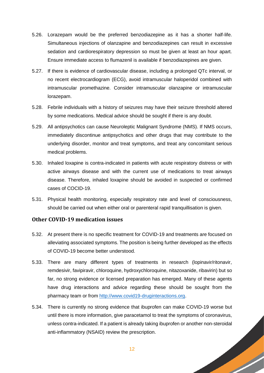- 5.26. Lorazepam would be the preferred benzodiazepine as it has a shorter half-life. Simultaneous injections of olanzapine and benzodiazepines can result in excessive sedation and cardiorespiratory depression so must be given at least an hour apart. Ensure immediate access to flumazenil is available if benzodiazepines are given.
- 5.27. If there is evidence of cardiovascular disease, including a prolonged QTc interval, or no recent electrocardiogram (ECG), avoid intramuscular haloperidol combined with intramuscular promethazine. Consider intramuscular olanzapine or intramuscular lorazepam.
- 5.28. Febrile individuals with a history of seizures may have their seizure threshold altered by some medications. Medical advice should be sought if there is any doubt.
- 5.29. All antipsychotics can cause Neuroleptic Malignant Syndrome (NMS). If NMS occurs, immediately discontinue antipsychotics and other drugs that may contribute to the underlying disorder, monitor and treat symptoms, and treat any concomitant serious medical problems.
- 5.30. Inhaled loxapine is contra-indicated in patients with acute respiratory distress or with active airways disease and with the current use of medications to treat airways disease. Therefore, inhaled loxapine should be avoided in suspected or confirmed cases of COCID-19.
- 5.31. Physical health monitoring, especially respiratory rate and level of consciousness, should be carried out when either oral or parenteral rapid tranquillisation is given.

#### **Other COVID-19 medication issues**

- 5.32. At present there is no specific treatment for COVID-19 and treatments are focused on alleviating associated symptoms. The position is being further developed as the effects of COVID-19 become better understood.
- 5.33. There are many different types of treatments in research (lopinavir/ritonavir, remdesivir, favipiravir, chloroquine, hydroxychloroquine, nitazoxanide, ribavirin) but so far, no strong evidence or licensed preparation has emerged. Many of these agents have drug interactions and advice regarding these should be sought from the pharmacy team or from [http://www.covid19-druginteractions.org.](http://www.covid19-druginteractions.org/)
- 5.34. There is currently no strong evidence that ibuprofen can make COVID-19 worse but until there is more information, give paracetamol to treat the symptoms of coronavirus, unless contra-indicated. If a patient is already taking ibuprofen or another non-steroidal anti-inflammatory (NSAID) review the prescription.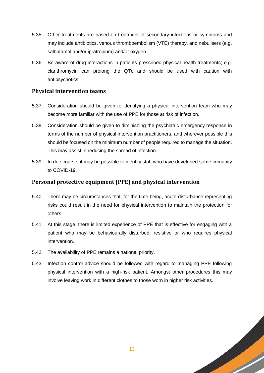- 5.35. Other treatments are based on treatment of secondary infections or symptoms and may include antibiotics, venous thromboembolism (VTE) therapy, and nebulisers (e.g. salbutamol and/or ipratropium) and/or oxygen.
- 5.36. Be aware of drug interactions in patients prescribed physical health treatments; e.g. clarithromycin can prolong the QTc and should be used with caution with antipsychotics.

#### <span id="page-14-0"></span>**Physical intervention teams**

- 5.37. Consideration should be given to identifying a physical intervention team who may become more familiar with the use of PPE for those at risk of infection.
- 5.38. Consideration should be given to diminishing the psychiatric emergency response in terms of the number of physical intervention practitioners, and wherever possible this should be focused on the minimum number of people required to manage the situation. This may assist in reducing the spread of infection.
- 5.39. In due course, it may be possible to identify staff who have developed some immunity to COVID-19.

#### <span id="page-14-1"></span>**Personal protective equipment (PPE) and physical intervention**

- 5.40. There may be circumstances that, for the time being, acute disturbance representing risks could result in the need for physical intervention to maintain the protection for others.
- 5.41. At this stage, there is limited experience of PPE that is effective for engaging with a patient who may be behaviourally disturbed, resistive or who requires physical intervention.
- 5.42. The availability of PPE remains a national priority.
- 5.43. Infection control advice should be followed with regard to managing PPE following physical intervention with a high-risk patient. Amongst other procedures this may involve leaving work in different clothes to those worn in higher risk activities.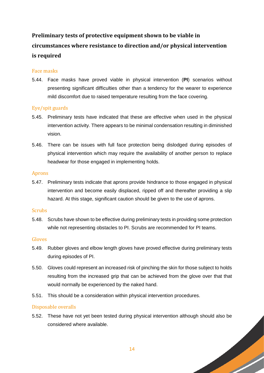## <span id="page-15-0"></span>**Preliminary tests of protective equipment shown to be viable in circumstances where resistance to direction and/or physical intervention is required**

#### Face masks

5.44. Face masks have proved viable in physical intervention (**PI**) scenarios without presenting significant difficulties other than a tendency for the wearer to experience mild discomfort due to raised temperature resulting from the face covering.

#### Eye/spit guards

- 5.45. Preliminary tests have indicated that these are effective when used in the physical intervention activity. There appears to be minimal condensation resulting in diminished vision.
- 5.46. There can be issues with full face protection being dislodged during episodes of physical intervention which may require the availability of another person to replace headwear for those engaged in implementing holds.

#### Aprons

5.47. Preliminary tests indicate that aprons provide hindrance to those engaged in physical intervention and become easily displaced, ripped off and thereafter providing a slip hazard. At this stage, significant caution should be given to the use of aprons.

#### **Scrubs**

5.48. Scrubs have shown to be effective during preliminary tests in providing some protection while not representing obstacles to PI. Scrubs are recommended for PI teams.

#### Gloves

- 5.49. Rubber gloves and elbow length gloves have proved effective during preliminary tests during episodes of PI.
- 5.50. Gloves could represent an increased risk of pinching the skin for those subject to holds resulting from the increased grip that can be achieved from the glove over that that would normally be experienced by the naked hand.
- 5.51. This should be a consideration within physical intervention procedures.

#### Disposable overalls

5.52. These have not yet been tested during physical intervention although should also be considered where available.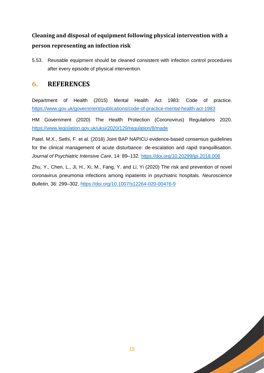## **Cleaning and disposal of equipment following physical intervention with a person representing an infection risk**

5.53. Reusable equipment should be cleaned consistent with infection control procedures after every episode of physical intervention.

### <span id="page-16-0"></span>**6. REFERENCES**

Department of Health (2015) Mental Health Act 1983: Code of practice. <https://www.gov.uk/government/publications/code-of-practice-mental-health-act-1983>

HM Government (2020) The Health Protection (Coronovirus) Regulations 2020. <https://www.legislation.gov.uk/uksi/2020/129/regulation/8/made>

Patel, M.X., Sethi, F. et al. (2018) Joint BAP NAPICU evidence-based consensus guidelines for the clinical management of acute disturbance: de-escalation and rapid tranquillisation. *Journal of Psychiatric Intensive Care*, 14: 89–132.<https://doi.org/10.20299/jpi.2018.008>

Zhu, Y., Chen, L., Ji, H., Xi, M., Fang, Y. and Li, Yi (2020) The risk and prevention of novel coronavirus pneumonia infections among inpatients in psychiatric hospitals. *Neuroscience Bulletin*, 36: 299–302.<https://doi.org/10.1007/s12264-020-00476-9>